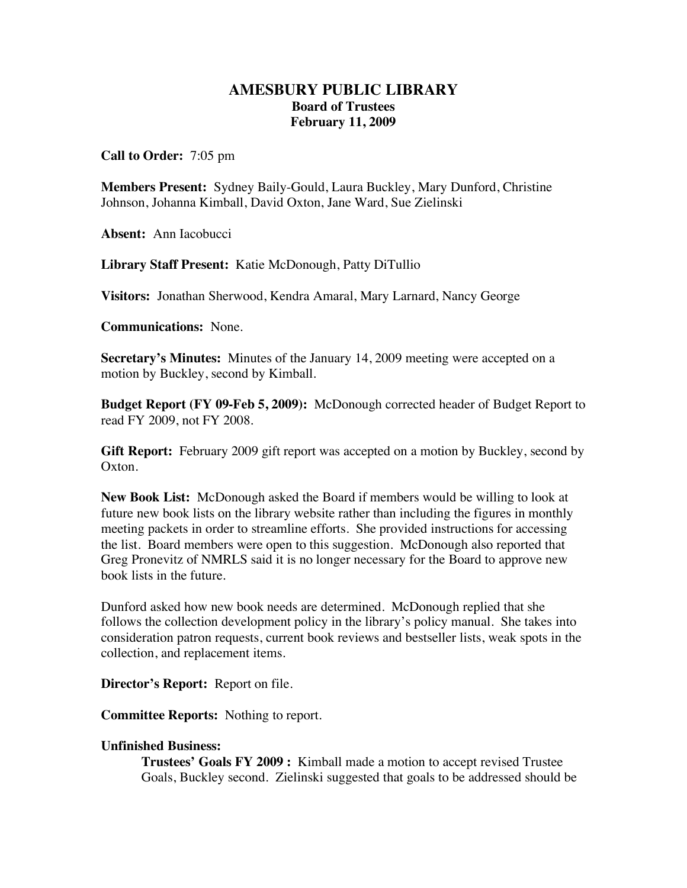## **AMESBURY PUBLIC LIBRARY Board of Trustees February 11, 2009**

**Call to Order:** 7:05 pm

**Members Present:** Sydney Baily-Gould, Laura Buckley, Mary Dunford, Christine Johnson, Johanna Kimball, David Oxton, Jane Ward, Sue Zielinski

**Absent:** Ann Iacobucci

**Library Staff Present:** Katie McDonough, Patty DiTullio

**Visitors:** Jonathan Sherwood, Kendra Amaral, Mary Larnard, Nancy George

**Communications:** None.

**Secretary's Minutes:** Minutes of the January 14, 2009 meeting were accepted on a motion by Buckley, second by Kimball.

**Budget Report (FY 09-Feb 5, 2009):** McDonough corrected header of Budget Report to read FY 2009, not FY 2008.

**Gift Report:** February 2009 gift report was accepted on a motion by Buckley, second by Oxton.

**New Book List:** McDonough asked the Board if members would be willing to look at future new book lists on the library website rather than including the figures in monthly meeting packets in order to streamline efforts. She provided instructions for accessing the list. Board members were open to this suggestion. McDonough also reported that Greg Pronevitz of NMRLS said it is no longer necessary for the Board to approve new book lists in the future.

Dunford asked how new book needs are determined. McDonough replied that she follows the collection development policy in the library's policy manual. She takes into consideration patron requests, current book reviews and bestseller lists, weak spots in the collection, and replacement items.

**Director's Report:** Report on file.

**Committee Reports:** Nothing to report.

## **Unfinished Business:**

**Trustees' Goals FY 2009 :** Kimball made a motion to accept revised Trustee Goals, Buckley second. Zielinski suggested that goals to be addressed should be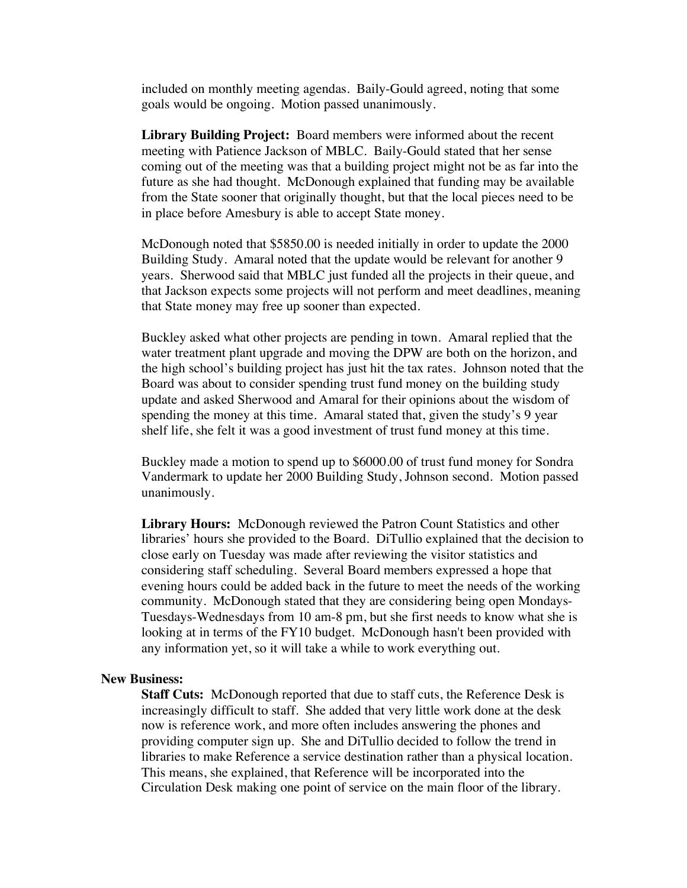included on monthly meeting agendas. Baily-Gould agreed, noting that some goals would be ongoing. Motion passed unanimously.

**Library Building Project:** Board members were informed about the recent meeting with Patience Jackson of MBLC. Baily-Gould stated that her sense coming out of the meeting was that a building project might not be as far into the future as she had thought. McDonough explained that funding may be available from the State sooner that originally thought, but that the local pieces need to be in place before Amesbury is able to accept State money.

McDonough noted that \$5850.00 is needed initially in order to update the 2000 Building Study. Amaral noted that the update would be relevant for another 9 years. Sherwood said that MBLC just funded all the projects in their queue, and that Jackson expects some projects will not perform and meet deadlines, meaning that State money may free up sooner than expected.

Buckley asked what other projects are pending in town. Amaral replied that the water treatment plant upgrade and moving the DPW are both on the horizon, and the high school's building project has just hit the tax rates. Johnson noted that the Board was about to consider spending trust fund money on the building study update and asked Sherwood and Amaral for their opinions about the wisdom of spending the money at this time. Amaral stated that, given the study's 9 year shelf life, she felt it was a good investment of trust fund money at this time.

Buckley made a motion to spend up to \$6000.00 of trust fund money for Sondra Vandermark to update her 2000 Building Study, Johnson second. Motion passed unanimously.

**Library Hours:** McDonough reviewed the Patron Count Statistics and other libraries' hours she provided to the Board. DiTullio explained that the decision to close early on Tuesday was made after reviewing the visitor statistics and considering staff scheduling. Several Board members expressed a hope that evening hours could be added back in the future to meet the needs of the working community. McDonough stated that they are considering being open Mondays-Tuesdays-Wednesdays from 10 am-8 pm, but she first needs to know what she is looking at in terms of the FY10 budget. McDonough hasn't been provided with any information yet, so it will take a while to work everything out.

## **New Business:**

**Staff Cuts:** McDonough reported that due to staff cuts, the Reference Desk is increasingly difficult to staff. She added that very little work done at the desk now is reference work, and more often includes answering the phones and providing computer sign up. She and DiTullio decided to follow the trend in libraries to make Reference a service destination rather than a physical location. This means, she explained, that Reference will be incorporated into the Circulation Desk making one point of service on the main floor of the library.